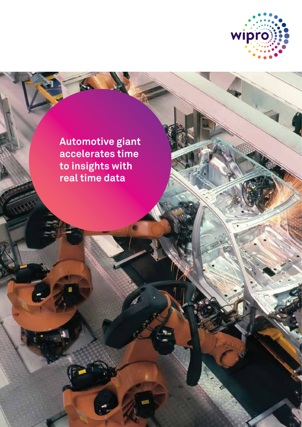

ķ.

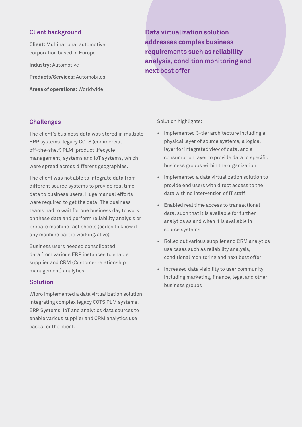## **Client background**

**Client:** Multinational automotive corporation based in Europe **Industry:** Automotive **Products/Services:** Automobiles

**Areas of operations:** Worldwide

**Data virtualization solution addresses complex business requirements such as reliability analysis, condition monitoring and next best offer**

# **Challenges**

The client's business data was stored in multiple ERP systems, legacy COTS (commercial off-the-shelf) PLM (product lifecycle management) systems and IoT systems, which were spread across different geographies.

The client was not able to integrate data from different source systems to provide real time data to business users. Huge manual efforts were required to get the data. The business teams had to wait for one business day to work on these data and perform reliability analysis or prepare machine fact sheets (codes to know if any machine part is working/alive).

Business users needed consolidated data from various ERP instances to enable supplier and CRM (Customer relationship management) analytics.

### **Solution**

Wipro implemented a data virtualization solution integrating complex legacy COTS PLM systems, ERP Systems, IoT and analytics data sources to enable various supplier and CRM analytics use cases for the client.

Solution highlights:

- Implemented 3-tier architecture including a physical layer of source systems, a logical layer for integrated view of data, and a consumption layer to provide data to specific business groups within the organization
- Implemented a data virtualization solution to provide end users with direct access to the data with no intervention of IT staff
- Enabled real time access to transactional data, such that it is available for further analytics as and when it is available in source systems
- Rolled out various supplier and CRM analytics use cases such as reliability analysis, conditional monitoring and next best offer
- Increased data visibility to user community including marketing, finance, legal and other business groups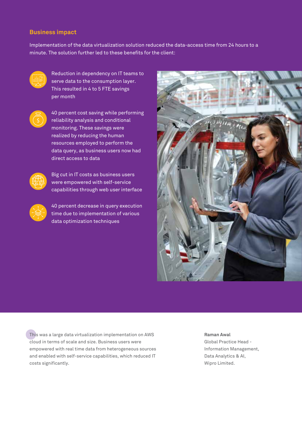### **Business impact**

Implementation of the data virtualization solution reduced the data-access time from 24 hours to a minute. The solution further led to these benefits for the client:



Reduction in dependency on IT teams to serve data to the consumption layer. This resulted in 4 to 5 FTE savings per month



 40 percent cost saving while performing reliability analysis and conditional monitoring. These savings were realized by reducing the human resources employed to perform the data query, as business users now had direct access to data



 Big cut in IT costs as business users were empowered with self-service capabilities through web user interface



 40 percent decrease in query execution time due to implementation of various data optimization techniques



This was a large data virtualization implementation on AWS cloud in terms of scale and size. Business users were empowered with real time data from heterogeneous sources and enabled with self-service capabilities, which reduced IT costs significantly.

**Raman Awal**

Global Practice Head - Information Management, Data Analytics & AI, Wipro Limited.